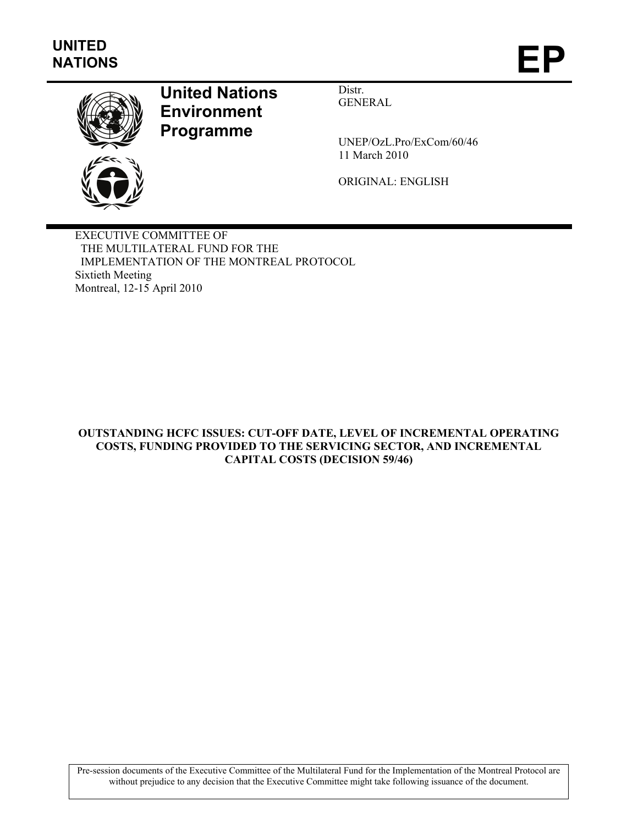

# **United Nations Environment Programme**

Distr. GENERAL

UNEP/OzL.Pro/ExCom/60/46 11 March 2010

ORIGINAL: ENGLISH

EXECUTIVE COMMITTEE OF THE MULTILATERAL FUND FOR THE IMPLEMENTATION OF THE MONTREAL PROTOCOL Sixtieth Meeting Montreal, 12-15 April 2010

**OUTSTANDING HCFC ISSUES: CUT-OFF DATE, LEVEL OF INCREMENTAL OPERATING COSTS, FUNDING PROVIDED TO THE SERVICING SECTOR, AND INCREMENTAL CAPITAL COSTS (DECISION 59/46)** 

Pre-session documents of the Executive Committee of the Multilateral Fund for the Implementation of the Montreal Protocol are without prejudice to any decision that the Executive Committee might take following issuance of the document.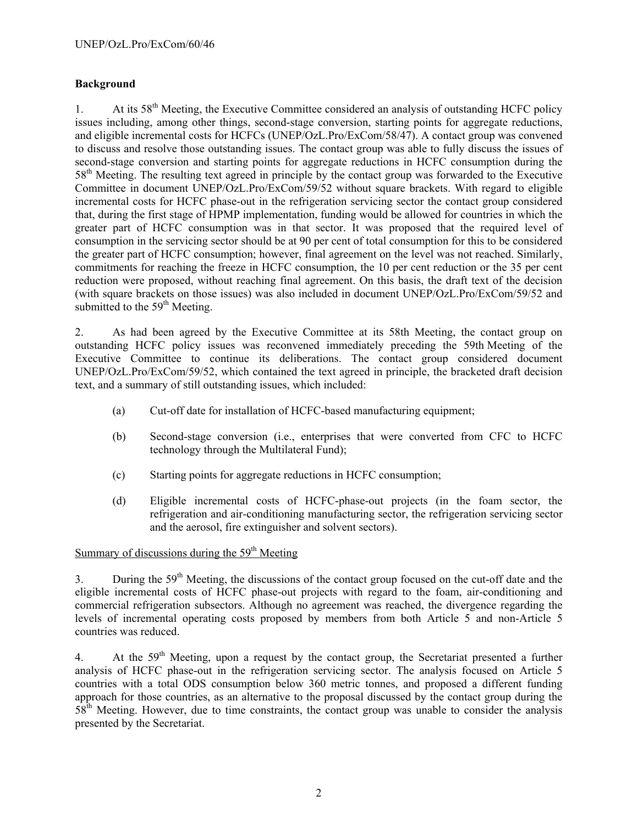## **Background**

1. At its 58<sup>th</sup> Meeting, the Executive Committee considered an analysis of outstanding HCFC policy issues including, among other things, second-stage conversion, starting points for aggregate reductions, and eligible incremental costs for HCFCs (UNEP/OzL.Pro/ExCom/58/47). A contact group was convened to discuss and resolve those outstanding issues. The contact group was able to fully discuss the issues of second-stage conversion and starting points for aggregate reductions in HCFC consumption during the 58<sup>th</sup> Meeting. The resulting text agreed in principle by the contact group was forwarded to the Executive Committee in document UNEP/OzL.Pro/ExCom/59/52 without square brackets. With regard to eligible incremental costs for HCFC phase-out in the refrigeration servicing sector the contact group considered that, during the first stage of HPMP implementation, funding would be allowed for countries in which the greater part of HCFC consumption was in that sector. It was proposed that the required level of consumption in the servicing sector should be at 90 per cent of total consumption for this to be considered the greater part of HCFC consumption; however, final agreement on the level was not reached. Similarly, commitments for reaching the freeze in HCFC consumption, the 10 per cent reduction or the 35 per cent reduction were proposed, without reaching final agreement. On this basis, the draft text of the decision (with square brackets on those issues) was also included in document UNEP/OzL.Pro/ExCom/59/52 and submitted to the  $59<sup>th</sup>$  Meeting.

2. As had been agreed by the Executive Committee at its 58th Meeting, the contact group on outstanding HCFC policy issues was reconvened immediately preceding the 59th Meeting of the Executive Committee to continue its deliberations. The contact group considered document UNEP/OzL.Pro/ExCom/59/52, which contained the text agreed in principle, the bracketed draft decision text, and a summary of still outstanding issues, which included:

- (a) Cut-off date for installation of HCFC-based manufacturing equipment;
- (b) Second-stage conversion (i.e., enterprises that were converted from CFC to HCFC technology through the Multilateral Fund);
- (c) Starting points for aggregate reductions in HCFC consumption;
- (d) Eligible incremental costs of HCFC-phase-out projects (in the foam sector, the refrigeration and air-conditioning manufacturing sector, the refrigeration servicing sector and the aerosol, fire extinguisher and solvent sectors).

# Summary of discussions during the  $59<sup>th</sup>$  Meeting

3. During the 59<sup>th</sup> Meeting, the discussions of the contact group focused on the cut-off date and the eligible incremental costs of HCFC phase-out projects with regard to the foam, air-conditioning and commercial refrigeration subsectors. Although no agreement was reached, the divergence regarding the levels of incremental operating costs proposed by members from both Article 5 and non-Article 5 countries was reduced.

4. At the  $59<sup>th</sup>$  Meeting, upon a request by the contact group, the Secretariat presented a further analysis of HCFC phase-out in the refrigeration servicing sector. The analysis focused on Article 5 countries with a total ODS consumption below 360 metric tonnes, and proposed a different funding approach for those countries, as an alternative to the proposal discussed by the contact group during the  $58<sup>th</sup>$  Meeting. However, due to time constraints, the contact group was unable to consider the analysis presented by the Secretariat.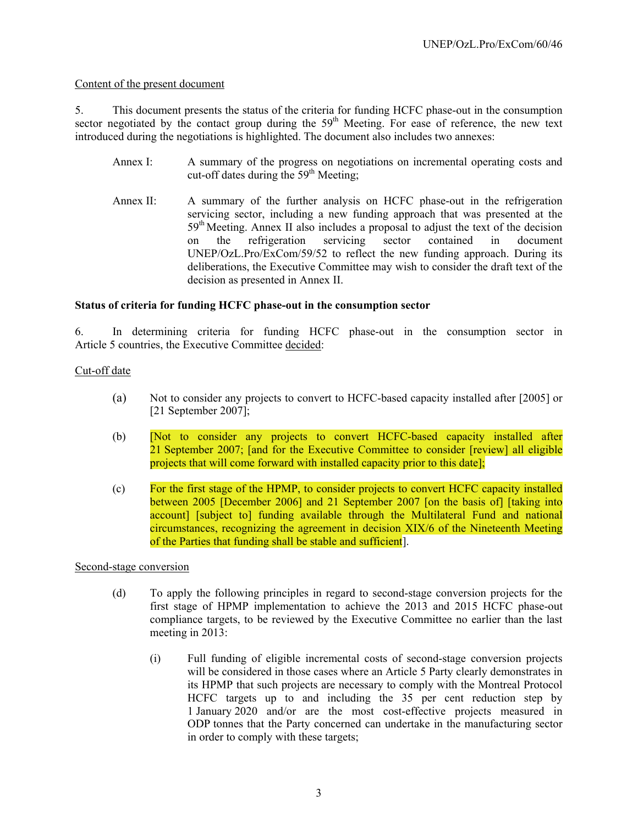## Content of the present document

5. This document presents the status of the criteria for funding HCFC phase-out in the consumption sector negotiated by the contact group during the 59<sup>th</sup> Meeting. For ease of reference, the new text introduced during the negotiations is highlighted. The document also includes two annexes:

- Annex I: A summary of the progress on negotiations on incremental operating costs and cut-off dates during the  $59<sup>th</sup>$  Meeting;
- Annex II: A summary of the further analysis on HCFC phase-out in the refrigeration servicing sector, including a new funding approach that was presented at the  $59<sup>th</sup> Meeting$ . Annex II also includes a proposal to adjust the text of the decision on the refrigeration servicing sector contained in document UNEP/OzL.Pro/ExCom/59/52 to reflect the new funding approach. During its deliberations, the Executive Committee may wish to consider the draft text of the decision as presented in Annex II.

## **Status of criteria for funding HCFC phase-out in the consumption sector**

6. In determining criteria for funding HCFC phase-out in the consumption sector in Article 5 countries, the Executive Committee decided:

## Cut-off date

- (a) Not to consider any projects to convert to HCFC-based capacity installed after [2005] or [21 September 2007];
- (b) [Not to consider any projects to convert HCFC-based capacity installed after 21 September 2007; [and for the Executive Committee to consider [review] all eligible projects that will come forward with installed capacity prior to this date];
- (c) For the first stage of the HPMP, to consider projects to convert HCFC capacity installed between 2005 [December 2006] and 21 September 2007 [on the basis of] [taking into account] [subject to] funding available through the Multilateral Fund and national circumstances, recognizing the agreement in decision XIX/6 of the Nineteenth Meeting of the Parties that funding shall be stable and sufficient].

Second-stage conversion

- (d) To apply the following principles in regard to second-stage conversion projects for the first stage of HPMP implementation to achieve the 2013 and 2015 HCFC phase-out compliance targets, to be reviewed by the Executive Committee no earlier than the last meeting in 2013:
	- (i) Full funding of eligible incremental costs of second-stage conversion projects will be considered in those cases where an Article 5 Party clearly demonstrates in its HPMP that such projects are necessary to comply with the Montreal Protocol HCFC targets up to and including the 35 per cent reduction step by 1 January 2020 and/or are the most cost-effective projects measured in ODP tonnes that the Party concerned can undertake in the manufacturing sector in order to comply with these targets;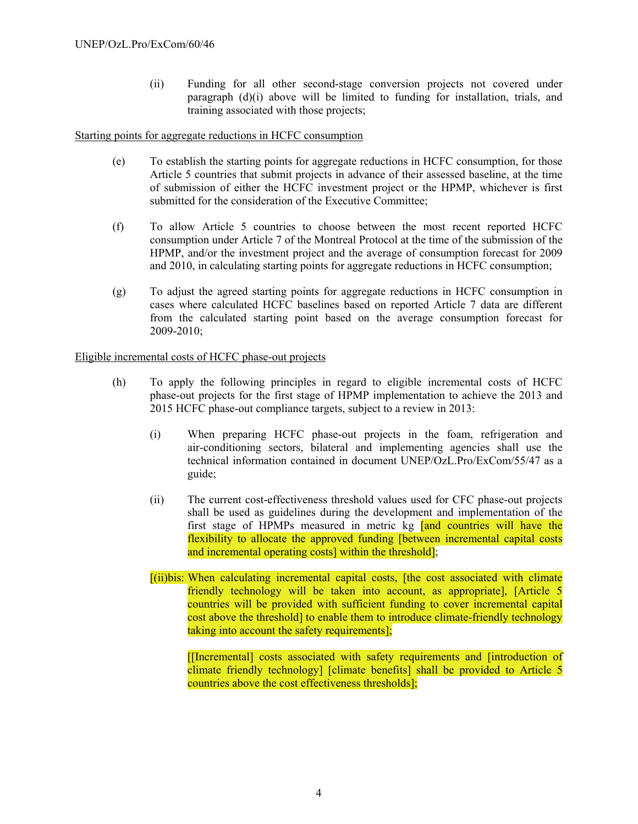(ii) Funding for all other second-stage conversion projects not covered under paragraph (d)(i) above will be limited to funding for installation, trials, and training associated with those projects;

Starting points for aggregate reductions in HCFC consumption

- (e) To establish the starting points for aggregate reductions in HCFC consumption, for those Article 5 countries that submit projects in advance of their assessed baseline, at the time of submission of either the HCFC investment project or the HPMP, whichever is first submitted for the consideration of the Executive Committee;
- (f) To allow Article 5 countries to choose between the most recent reported HCFC consumption under Article 7 of the Montreal Protocol at the time of the submission of the HPMP, and/or the investment project and the average of consumption forecast for 2009 and 2010, in calculating starting points for aggregate reductions in HCFC consumption;
- (g) To adjust the agreed starting points for aggregate reductions in HCFC consumption in cases where calculated HCFC baselines based on reported Article 7 data are different from the calculated starting point based on the average consumption forecast for 2009-2010;

## Eligible incremental costs of HCFC phase-out projects

- (h) To apply the following principles in regard to eligible incremental costs of HCFC phase-out projects for the first stage of HPMP implementation to achieve the 2013 and 2015 HCFC phase-out compliance targets, subject to a review in 2013:
	- (i) When preparing HCFC phase-out projects in the foam, refrigeration and air-conditioning sectors, bilateral and implementing agencies shall use the technical information contained in document UNEP/OzL.Pro/ExCom/55/47 as a guide;
	- (ii) The current cost-effectiveness threshold values used for CFC phase-out projects shall be used as guidelines during the development and implementation of the first stage of HPMPs measured in metric kg [and countries will have the flexibility to allocate the approved funding [between incremental capital costs and incremental operating costs] within the threshold];
	- [(ii)bis: When calculating incremental capital costs, [the cost associated with climate friendly technology will be taken into account, as appropriate], [Article 5 countries will be provided with sufficient funding to cover incremental capital cost above the threshold] to enable them to introduce climate-friendly technology taking into account the safety requirements];

[[Incremental] costs associated with safety requirements and [introduction of climate friendly technology] [climate benefits] shall be provided to Article 5 countries above the cost effectiveness thresholds];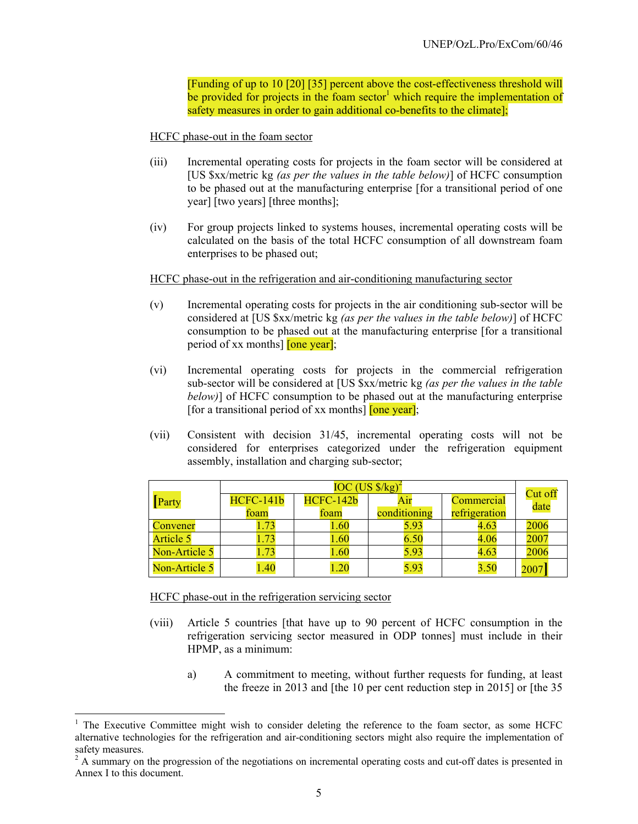[Funding of up to 10 [20] [35] percent above the cost-effectiveness threshold will be provided for projects in the foam sector<sup>1</sup> which require the implementation of safety measures in order to gain additional co-benefits to the climate];

HCFC phase-out in the foam sector

- (iii) Incremental operating costs for projects in the foam sector will be considered at [US \$xx/metric kg *(as per the values in the table below)*] of HCFC consumption to be phased out at the manufacturing enterprise [for a transitional period of one year] [two years] [three months];
- (iv) For group projects linked to systems houses, incremental operating costs will be calculated on the basis of the total HCFC consumption of all downstream foam enterprises to be phased out;

HCFC phase-out in the refrigeration and air-conditioning manufacturing sector

- (v) Incremental operating costs for projects in the air conditioning sub-sector will be considered at [US \$xx/metric kg *(as per the values in the table below)*] of HCFC consumption to be phased out at the manufacturing enterprise [for a transitional period of xx months] [one year];
- (vi) Incremental operating costs for projects in the commercial refrigeration sub-sector will be considered at [US \$xx/metric kg *(as per the values in the table below)*] of HCFC consumption to be phased out at the manufacturing enterprise [for a transitional period of xx months]  $[one year]$ ;
- (vii) Consistent with decision 31/45, incremental operating costs will not be considered for enterprises categorized under the refrigeration equipment assembly, installation and charging sub-sector;

|                  |                  | Cut off   |              |               |      |
|------------------|------------------|-----------|--------------|---------------|------|
| Party            | <b>HCFC-141b</b> | HCFC-142b | Air          | Commercial    | date |
|                  | foam             | foam      | conditioning | refrigeration |      |
| Convener         |                  | 1.60      | 5.93         | 4.63          | 2006 |
| <b>Article 5</b> | .73              | 1.60      | 6.50         | 4.06          | 2007 |
| Non-Article 5    | 1.73             | 1.60      | 5.93         | 4.63          | 2006 |
| Non-Article 5    | .40              | 1.20      | 5.93         | 3.50          | 2007 |

HCFC phase-out in the refrigeration servicing sector

l

- (viii) Article 5 countries [that have up to 90 percent of HCFC consumption in the refrigeration servicing sector measured in ODP tonnes] must include in their HPMP, as a minimum:
	- a) A commitment to meeting, without further requests for funding, at least the freeze in 2013 and [the 10 per cent reduction step in 2015] or [the 35

<sup>&</sup>lt;sup>1</sup> The Executive Committee might wish to consider deleting the reference to the foam sector, as some HCFC alternative technologies for the refrigeration and air-conditioning sectors might also require the implementation of safety measures.

 $2^2$  A summary on the progression of the negotiations on incremental operating costs and cut-off dates is presented in Annex I to this document.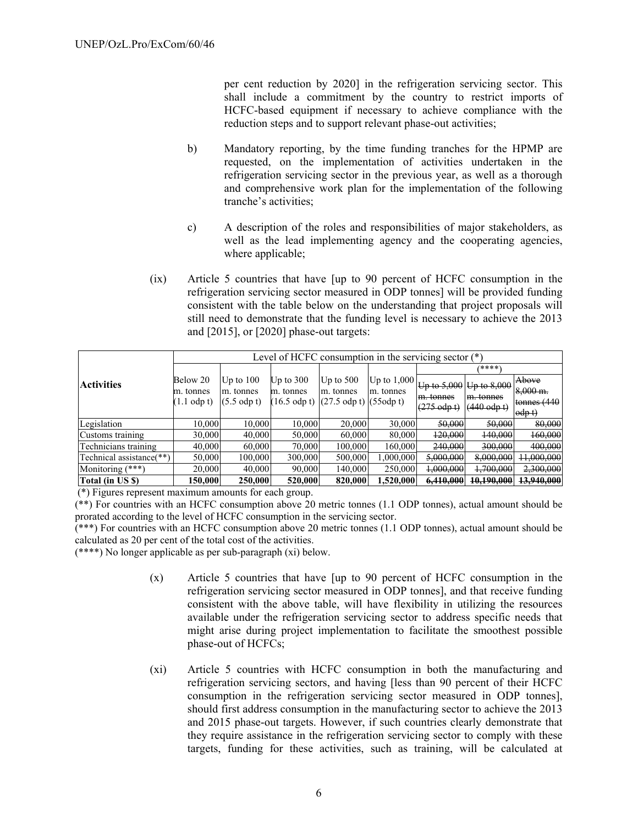per cent reduction by 2020] in the refrigeration servicing sector. This shall include a commitment by the country to restrict imports of HCFC-based equipment if necessary to achieve compliance with the reduction steps and to support relevant phase-out activities;

- b) Mandatory reporting, by the time funding tranches for the HPMP are requested, on the implementation of activities undertaken in the refrigeration servicing sector in the previous year, as well as a thorough and comprehensive work plan for the implementation of the following tranche's activities;
- c) A description of the roles and responsibilities of major stakeholders, as well as the lead implementing agency and the cooperating agencies, where applicable;
- (ix) Article 5 countries that have [up to 90 percent of HCFC consumption in the refrigeration servicing sector measured in ODP tonnes] will be provided funding consistent with the table below on the understanding that project proposals will still need to demonstrate that the funding level is necessary to achieve the 2013 and [2015], or [2020] phase-out targets:

|                          | Level of HCFC consumption in the servicing sector $(*)$ |                     |             |                                                                    |               |                         |                     |                     |
|--------------------------|---------------------------------------------------------|---------------------|-------------|--------------------------------------------------------------------|---------------|-------------------------|---------------------|---------------------|
|                          |                                                         |                     |             |                                                                    |               |                         | ****)               |                     |
| <b>Activities</b>        | Below 20                                                | Up to $100$         | Up to $300$ | Up to $500$                                                        | Up to $1,000$ | Up to 5,000 Up to 8,000 |                     | Above               |
|                          | m. tonnes                                               | m. tonnes           | m. tonnes   | m. tonnes                                                          | m. tonnes     | m. tonnes               | m. tonnes           | $8,000 \text{ m}$ . |
|                          | $(1.1$ odp t)                                           | $(5.5 \text{ odd})$ |             | $(16.5 \text{ odp t})$ $(27.5 \text{ odp t})$ $(55 \text{ odp t})$ |               |                         |                     | tonnes $(440)$      |
|                          |                                                         |                     |             |                                                                    |               | $(275 \text{ odd})$     | $(440 \text{ odd})$ | $\text{odp}$ t)     |
| Legislation              | 10,000                                                  | 10.000              | 10.000      | 20,000                                                             | 30,000        | 50,000                  | 50,000              | 80,000              |
| Customs training         | 30,000                                                  | 40,000              | 50.000      | 60,000                                                             | 80,000        | 120,000                 | 140,000             | 160,000             |
| Technicians training     | 40,000                                                  | 60,000              | 70.000      | 100,000                                                            | 160,000       | 240,000                 | 300,000             | 400,000             |
| Technical assistance(**) | 50,000                                                  | 100,000             | 300,000     | 500,000                                                            | 1.000.000     | 5,000,000               | 8,000,000           | 11,000,000          |
| Monitoring $(***)$       | 20,000                                                  | 40,000              | 90.000      | 140.000                                                            | 250,000       | 1,000,000               | 1,700,000           | 2,300,000           |
| Total (in US \$)         | 150,000                                                 | 250,000             | 520,000     | 820,000                                                            | .520,000      | 6,410,000               | 10,190,000          | 13,940,000          |

(\*) Figures represent maximum amounts for each group.

(\*\*) For countries with an HCFC consumption above 20 metric tonnes (1.1 ODP tonnes), actual amount should be prorated according to the level of HCFC consumption in the servicing sector.

(\*\*\*) For countries with an HCFC consumption above 20 metric tonnes (1.1 ODP tonnes), actual amount should be calculated as 20 per cent of the total cost of the activities.

(\*\*\*\*) No longer applicable as per sub-paragraph (xi) below.

- (x) Article 5 countries that have [up to 90 percent of HCFC consumption in the refrigeration servicing sector measured in ODP tonnes], and that receive funding consistent with the above table, will have flexibility in utilizing the resources available under the refrigeration servicing sector to address specific needs that might arise during project implementation to facilitate the smoothest possible phase-out of HCFCs;
- (xi) Article 5 countries with HCFC consumption in both the manufacturing and refrigeration servicing sectors, and having [less than 90 percent of their HCFC consumption in the refrigeration servicing sector measured in ODP tonnes], should first address consumption in the manufacturing sector to achieve the 2013 and 2015 phase-out targets. However, if such countries clearly demonstrate that they require assistance in the refrigeration servicing sector to comply with these targets, funding for these activities, such as training, will be calculated at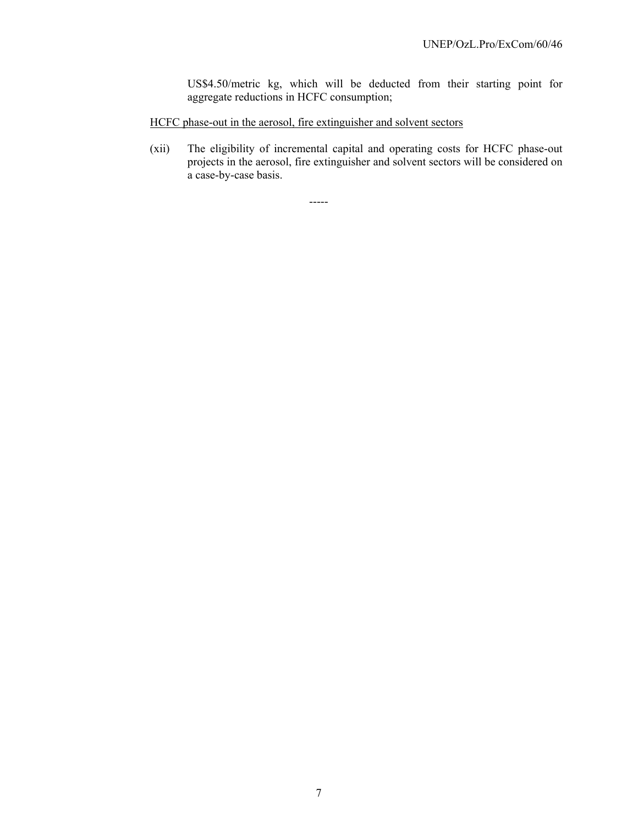US\$4.50/metric kg, which will be deducted from their starting point for aggregate reductions in HCFC consumption;

HCFC phase-out in the aerosol, fire extinguisher and solvent sectors

(xii) The eligibility of incremental capital and operating costs for HCFC phase-out projects in the aerosol, fire extinguisher and solvent sectors will be considered on a case-by-case basis.

-----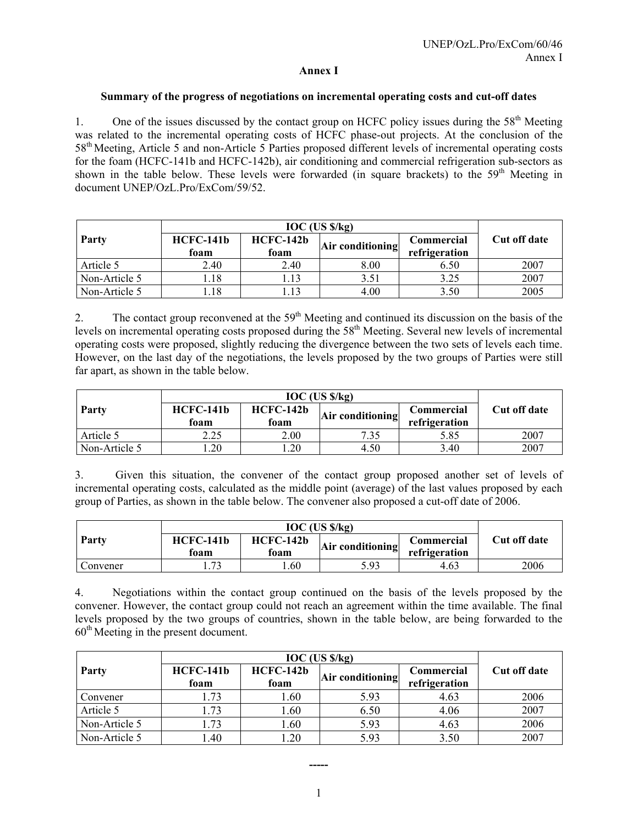#### **Annex I**

#### **Summary of the progress of negotiations on incremental operating costs and cut-off dates**

1. One of the issues discussed by the contact group on HCFC policy issues during the  $58<sup>th</sup>$  Meeting was related to the incremental operating costs of HCFC phase-out projects. At the conclusion of the 58th Meeting, Article 5 and non-Article 5 Parties proposed different levels of incremental operating costs for the foam (HCFC-141b and HCFC-142b), air conditioning and commercial refrigeration sub-sectors as shown in the table below. These levels were forwarded (in square brackets) to the  $59<sup>th</sup>$  Meeting in document UNEP/OzL.Pro/ExCom/59/52.

| Party         | <b>HCFC-141b</b><br>foam | $HCFC-142b$<br>foam | Air conditioning | <b>Commercial</b><br>refrigeration | Cut off date |
|---------------|--------------------------|---------------------|------------------|------------------------------------|--------------|
| Article 5     | 2.40                     | 2.40                | 8.00             | 6.50                               | 2007         |
| Non-Article 5 | 1.18                     |                     | 3.51             | 3.25                               | 2007         |
| Non-Article 5 | l.18                     |                     | 4.00             | 3.50                               | 2005         |

2. The contact group reconvened at the  $59<sup>th</sup>$  Meeting and continued its discussion on the basis of the levels on incremental operating costs proposed during the  $58<sup>th</sup>$  Meeting. Several new levels of incremental operating costs were proposed, slightly reducing the divergence between the two sets of levels each time. However, on the last day of the negotiations, the levels proposed by the two groups of Parties were still far apart, as shown in the table below.

| Party         | $HCFC-141b$<br>foam | $HCFC-142b$<br>Air conditioning<br>foam |      | Commercial<br>refrigeration | Cut off date |
|---------------|---------------------|-----------------------------------------|------|-----------------------------|--------------|
| Article 5     | 2.25                | 2.00                                    | 7.35 | 5.85                        | 2007         |
| Non-Article 5 | .20                 | .20                                     | 4.50 | 3.40                        | 2007         |

3. Given this situation, the convener of the contact group proposed another set of levels of incremental operating costs, calculated as the middle point (average) of the last values proposed by each group of Parties, as shown in the table below. The convener also proposed a cut-off date of 2006.

| Party    | <b>HCFC-141b</b><br>foam | $HCFC-142b$<br>Air conditioning<br>foam |      | <b>Commercial</b><br>refrigeration | Cut off date |
|----------|--------------------------|-----------------------------------------|------|------------------------------------|--------------|
| Convener | 72                       | .60                                     | 5.93 | 4.63                               | 2006         |

4. Negotiations within the contact group continued on the basis of the levels proposed by the convener. However, the contact group could not reach an agreement within the time available. The final levels proposed by the two groups of countries, shown in the table below, are being forwarded to the 60th Meeting in the present document.

| Party         | <b>HCFC-141b</b><br>foam | <b>HCFC-142b</b><br>foam | Air conditioning | Commercial<br>refrigeration | Cut off date |
|---------------|--------------------------|--------------------------|------------------|-----------------------------|--------------|
| Convener      | 1.73                     | 1.60                     | 5.93             | 4.63                        | 2006         |
| Article 5     | 1.73                     | 1.60                     | 6.50             | 4.06                        | 2007         |
| Non-Article 5 | .73                      | 1.60                     | 5.93             | 4.63                        | 2006         |
| Non-Article 5 | .40                      | .20                      | 5.93             | 3.50                        | 2007         |

**-----**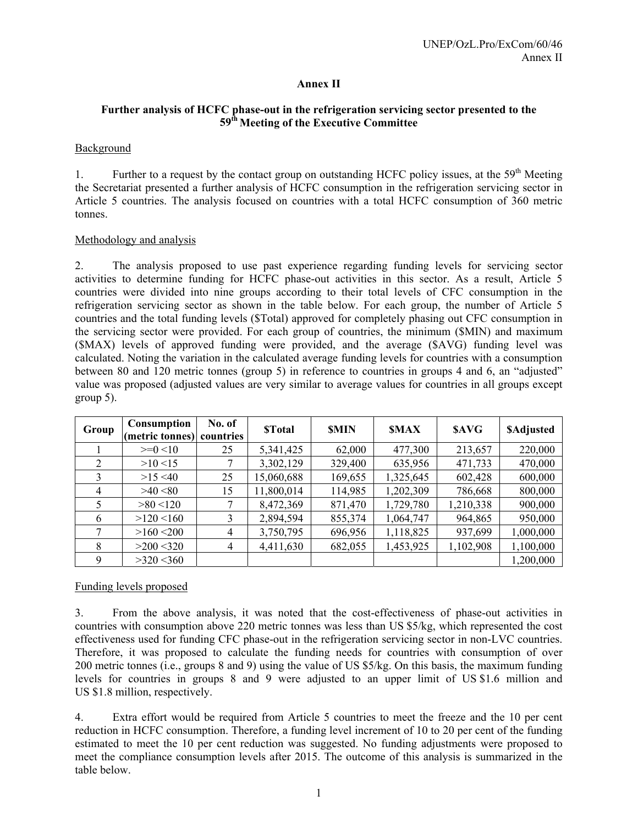## **Annex II**

## **Further analysis of HCFC phase-out in the refrigeration servicing sector presented to the 59th Meeting of the Executive Committee**

## Background

1. Further to a request by the contact group on outstanding HCFC policy issues, at the  $59<sup>th</sup>$  Meeting the Secretariat presented a further analysis of HCFC consumption in the refrigeration servicing sector in Article 5 countries. The analysis focused on countries with a total HCFC consumption of 360 metric tonnes.

## Methodology and analysis

2. The analysis proposed to use past experience regarding funding levels for servicing sector activities to determine funding for HCFC phase-out activities in this sector. As a result, Article 5 countries were divided into nine groups according to their total levels of CFC consumption in the refrigeration servicing sector as shown in the table below. For each group, the number of Article 5 countries and the total funding levels (\$Total) approved for completely phasing out CFC consumption in the servicing sector were provided. For each group of countries, the minimum (\$MIN) and maximum (\$MAX) levels of approved funding were provided, and the average (\$AVG) funding level was calculated. Noting the variation in the calculated average funding levels for countries with a consumption between 80 and 120 metric tonnes (group 5) in reference to countries in groups 4 and 6, an "adjusted" value was proposed (adjusted values are very similar to average values for countries in all groups except group 5).

| Group | Consumption<br>(metric tonnes) | No. of<br>countries | <b>STotal</b> | <b>SMIN</b> | <b>SMAX</b> | <b>SAVG</b> | <b>SAdjusted</b> |
|-------|--------------------------------|---------------------|---------------|-------------|-------------|-------------|------------------|
|       | $>=0<10$                       | 25                  | 5,341,425     | 62,000      | 477,300     | 213,657     | 220,000          |
| 2     | $>10$ <15                      |                     | 3,302,129     | 329,400     | 635,956     | 471,733     | 470,000          |
| 3     | $>15$ <40                      | 25                  | 15,060,688    | 169,655     | 1,325,645   | 602,428     | 600,000          |
| 4     | >40<80                         | 15                  | 11,800,014    | 114,985     | 1,202,309   | 786,668     | 800,000          |
| 5.    | $>80$ <120                     |                     | 8,472,369     | 871,470     | 1,729,780   | 1,210,338   | 900,000          |
| 6     | $>120$ <160                    | 3                   | 2,894,594     | 855,374     | 1,064,747   | 964,865     | 950,000          |
|       | $>160$ < 200                   | 4                   | 3,750,795     | 696,956     | 1,118,825   | 937,699     | 1,000,000        |
| 8     | $>200$ < 320                   | $\overline{4}$      | 4,411,630     | 682,055     | 1,453,925   | 1,102,908   | 1,100,000        |
| 9     | $>320$ < 360                   |                     |               |             |             |             | 1,200,000        |

## Funding levels proposed

3. From the above analysis, it was noted that the cost-effectiveness of phase-out activities in countries with consumption above 220 metric tonnes was less than US \$5/kg, which represented the cost effectiveness used for funding CFC phase-out in the refrigeration servicing sector in non-LVC countries. Therefore, it was proposed to calculate the funding needs for countries with consumption of over 200 metric tonnes (i.e., groups 8 and 9) using the value of US \$5/kg. On this basis, the maximum funding levels for countries in groups 8 and 9 were adjusted to an upper limit of US \$1.6 million and US \$1.8 million, respectively.

4. Extra effort would be required from Article 5 countries to meet the freeze and the 10 per cent reduction in HCFC consumption. Therefore, a funding level increment of 10 to 20 per cent of the funding estimated to meet the 10 per cent reduction was suggested. No funding adjustments were proposed to meet the compliance consumption levels after 2015. The outcome of this analysis is summarized in the table below.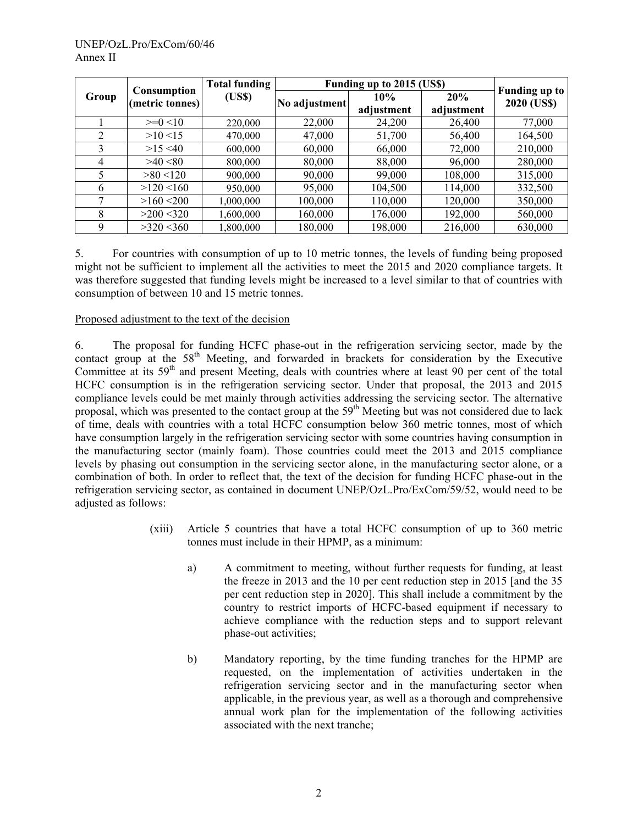|       | <b>Total funding</b><br><b>Consumption</b> |           |               | Funding up to 2015 (US\$) |                   |                                     |  |  |
|-------|--------------------------------------------|-----------|---------------|---------------------------|-------------------|-------------------------------------|--|--|
| Group | (metric tonnes)                            | (US\$)    | No adjustment | 10%<br>adjustment         | 20%<br>adjustment | <b>Funding up to</b><br>2020 (US\$) |  |  |
|       | $>=0<10$                                   | 220,000   | 22,000        | 24,200                    | 26,400            | 77,000                              |  |  |
| 2     | $>10$ <15                                  | 470,000   | 47,000        | 51,700                    | 56,400            | 164,500                             |  |  |
| 3     | $>15$ <40                                  | 600,000   | 60,000        | 66,000                    | 72,000            | 210,000                             |  |  |
| 4     | >40<80                                     | 800,000   | 80,000        | 88,000                    | 96,000            | 280,000                             |  |  |
| 5     | $>80$ < 120                                | 900,000   | 90,000        | 99,000                    | 108,000           | 315,000                             |  |  |
| 6     | $>120$ <160                                | 950,000   | 95,000        | 104,500                   | 114,000           | 332,500                             |  |  |
| 7     | $>160$ < 200                               | 1,000,000 | 100,000       | 110,000                   | 120,000           | 350,000                             |  |  |
| 8     | $>200$ < 320                               | 1,600,000 | 160,000       | 176,000                   | 192,000           | 560,000                             |  |  |
| 9     | $>320$ < 360                               | 1,800,000 | 180,000       | 198,000                   | 216,000           | 630,000                             |  |  |

5. For countries with consumption of up to 10 metric tonnes, the levels of funding being proposed might not be sufficient to implement all the activities to meet the 2015 and 2020 compliance targets. It was therefore suggested that funding levels might be increased to a level similar to that of countries with consumption of between 10 and 15 metric tonnes.

## Proposed adjustment to the text of the decision

6. The proposal for funding HCFC phase-out in the refrigeration servicing sector, made by the contact group at the 58<sup>th</sup> Meeting, and forwarded in brackets for consideration by the Executive Committee at its  $59<sup>th</sup>$  and present Meeting, deals with countries where at least 90 per cent of the total HCFC consumption is in the refrigeration servicing sector. Under that proposal, the 2013 and 2015 compliance levels could be met mainly through activities addressing the servicing sector. The alternative proposal, which was presented to the contact group at the 59<sup>th</sup> Meeting but was not considered due to lack of time, deals with countries with a total HCFC consumption below 360 metric tonnes, most of which have consumption largely in the refrigeration servicing sector with some countries having consumption in the manufacturing sector (mainly foam). Those countries could meet the 2013 and 2015 compliance levels by phasing out consumption in the servicing sector alone, in the manufacturing sector alone, or a combination of both. In order to reflect that, the text of the decision for funding HCFC phase-out in the refrigeration servicing sector, as contained in document UNEP/OzL.Pro/ExCom/59/52, would need to be adjusted as follows:

- (xiii) Article 5 countries that have a total HCFC consumption of up to 360 metric tonnes must include in their HPMP, as a minimum:
	- a) A commitment to meeting, without further requests for funding, at least the freeze in 2013 and the 10 per cent reduction step in 2015 [and the 35 per cent reduction step in 2020]. This shall include a commitment by the country to restrict imports of HCFC-based equipment if necessary to achieve compliance with the reduction steps and to support relevant phase-out activities;
	- b) Mandatory reporting, by the time funding tranches for the HPMP are requested, on the implementation of activities undertaken in the refrigeration servicing sector and in the manufacturing sector when applicable, in the previous year, as well as a thorough and comprehensive annual work plan for the implementation of the following activities associated with the next tranche;